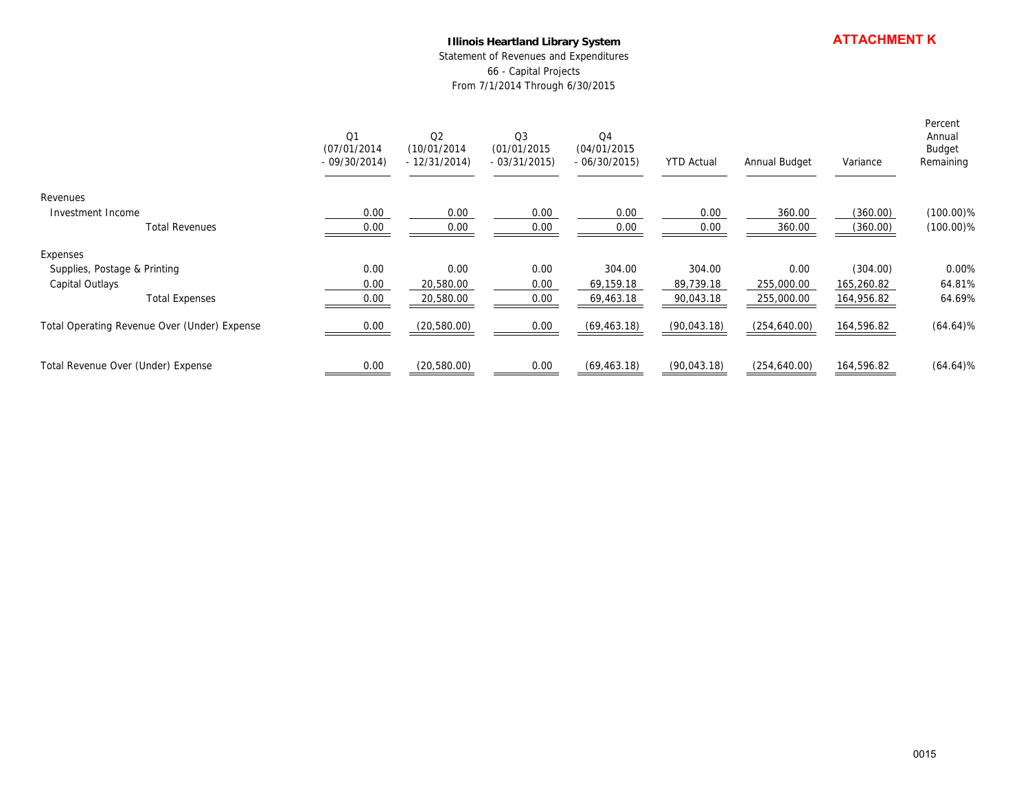#### **Illinois Heartland Library System**

|                                              |                                      | <b>ATTACHMENT K</b><br>Illinois Heartland Library System<br>Statement of Revenues and Expenditures<br>66 - Capital Projects<br>From 7/1/2014 Through 6/30/2015 |                                               |                                                |                        |                          |                          |                                          |
|----------------------------------------------|--------------------------------------|----------------------------------------------------------------------------------------------------------------------------------------------------------------|-----------------------------------------------|------------------------------------------------|------------------------|--------------------------|--------------------------|------------------------------------------|
|                                              | Q1<br>(07/01/2014)<br>$-09/30/2014)$ | $\mathsf{Q}2$<br>(10/01/2014)<br>$-12/31/2014)$                                                                                                                | $\mathsf{Q}3$<br>(01/01/2015<br>$-03/31/2015$ | $\mathsf{Q}4$<br>(04/01/2015)<br>$-06/30/2015$ | <b>YTD Actual</b>      | Annual Budget            | Variance                 | Percent<br>Annual<br>Budget<br>Remaining |
| Revenues                                     |                                      |                                                                                                                                                                |                                               |                                                |                        |                          |                          |                                          |
| Investment Income<br><b>Total Revenues</b>   | 0.00<br>0.00                         | 0.00<br>0.00                                                                                                                                                   | 0.00<br>0.00                                  | 0.00<br>0.00                                   | 0.00<br>0.00           | 360.00<br>360.00         | (360.00)<br>(360.00)     | $(100.00)\%$<br>$(100.00)\%$             |
| Expenses                                     |                                      |                                                                                                                                                                |                                               |                                                |                        |                          |                          |                                          |
| Supplies, Postage & Printing                 | 0.00                                 | $0.00\,$                                                                                                                                                       | 0.00                                          | 304.00                                         | 304.00                 | 0.00                     | (304.00)                 | 0.00%                                    |
| Capital Outlays<br><b>Total Expenses</b>     | 0.00<br>0.00                         | 20,580.00<br>20,580.00                                                                                                                                         | 0.00<br>0.00                                  | 69,159.18<br>69,463.18                         | 89,739.18<br>90,043.18 | 255,000.00<br>255,000.00 | 165,260.82<br>164,956.82 | 64.81%<br>64.69%                         |
| Total Operating Revenue Over (Under) Expense | 0.00                                 | (20,580.00)                                                                                                                                                    | 0.00                                          | (69, 463.18)                                   | (90,043.18)            | (254, 640.00)            | 164,596.82               | $(64.64)\%$                              |
| Total Revenue Over (Under) Expense           | 0.00                                 | (20,580.00)                                                                                                                                                    | 0.00                                          | (69, 463.18)                                   | (90,043.18)            | (254, 640.00)            | 164,596.82               | $(64.64)\%$                              |
|                                              |                                      |                                                                                                                                                                |                                               |                                                |                        |                          |                          |                                          |
|                                              |                                      |                                                                                                                                                                |                                               |                                                |                        |                          |                          |                                          |
|                                              |                                      |                                                                                                                                                                |                                               |                                                |                        |                          |                          |                                          |
|                                              |                                      |                                                                                                                                                                |                                               |                                                |                        |                          |                          |                                          |
|                                              |                                      |                                                                                                                                                                |                                               |                                                |                        |                          |                          |                                          |
|                                              |                                      |                                                                                                                                                                |                                               |                                                |                        |                          |                          |                                          |
|                                              |                                      |                                                                                                                                                                |                                               |                                                |                        |                          |                          |                                          |
|                                              |                                      |                                                                                                                                                                |                                               |                                                |                        |                          |                          |                                          |
|                                              |                                      |                                                                                                                                                                |                                               |                                                |                        |                          |                          |                                          |
|                                              |                                      |                                                                                                                                                                |                                               |                                                |                        |                          |                          | 0015                                     |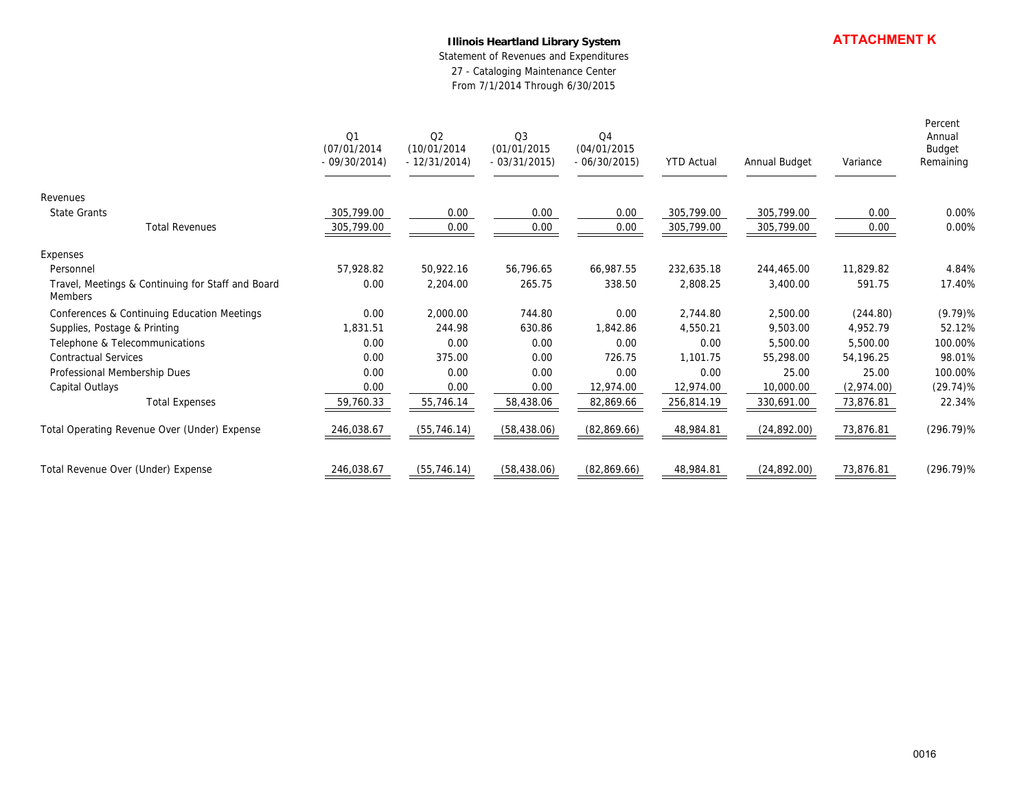### **Illinois Heartland Library System**

|                                                              | <b>Illinois Heartland Library System</b><br>Statement of Revenues and Expenditures<br>27 - Cataloging Maintenance Center<br>From 7/1/2014 Through 6/30/2015 |                                     |                                    |                                                |                   |               | <b>ATTACHMENT K</b> |                                          |
|--------------------------------------------------------------|-------------------------------------------------------------------------------------------------------------------------------------------------------------|-------------------------------------|------------------------------------|------------------------------------------------|-------------------|---------------|---------------------|------------------------------------------|
|                                                              | Q1<br>(07/01/2014)<br>$-09/30/2014)$                                                                                                                        | Q2<br>(10/01/2014<br>$-12/31/2014)$ | Q3<br>(01/01/2015<br>$-03/31/2015$ | Q <sub>4</sub><br>(04/01/2015<br>$-06/30/2015$ | <b>YTD Actual</b> | Annual Budget | Variance            | Percent<br>Annual<br>Budget<br>Remaining |
| Revenues                                                     |                                                                                                                                                             |                                     |                                    |                                                |                   |               |                     |                                          |
| State Grants                                                 | 305,799.00                                                                                                                                                  | 0.00                                | 0.00                               | 0.00                                           | 305,799.00        | 305,799.00    | 0.00                | 0.00%                                    |
| <b>Total Revenues</b>                                        | 305,799.00                                                                                                                                                  | 0.00                                | 0.00                               | 0.00                                           | 305,799.00        | 305,799.00    | 0.00                | 0.00%                                    |
| Expenses                                                     |                                                                                                                                                             |                                     |                                    |                                                |                   |               |                     |                                          |
| Personnel                                                    | 57,928.82                                                                                                                                                   | 50,922.16                           | 56,796.65                          | 66,987.55                                      | 232,635.18        | 244,465.00    | 11,829.82           | 4.84%                                    |
| Travel, Meetings & Continuing for Staff and Board<br>Members | 0.00                                                                                                                                                        | 2,204.00                            | 265.75                             | 338.50                                         | 2,808.25          | 3,400.00      | 591.75              | 17.40%                                   |
| Conferences & Continuing Education Meetings                  | 0.00                                                                                                                                                        | 2,000.00                            | 744.80                             | 0.00                                           | 2,744.80          | 2,500.00      | (244.80)            | $(9.79)$ %                               |
| Supplies, Postage & Printing                                 | 1,831.51                                                                                                                                                    | 244.98                              | 630.86                             | 1,842.86                                       | 4,550.21          | 9,503.00      | 4,952.79            | 52.12%                                   |
| Telephone & Telecommunications                               | 0.00                                                                                                                                                        | 0.00                                | 0.00                               | 0.00                                           | 0.00              | 5,500.00      | 5,500.00            | 100.00%                                  |
| <b>Contractual Services</b>                                  | 0.00                                                                                                                                                        | 375.00                              | 0.00                               | 726.75                                         | 1,101.75          | 55,298.00     | 54,196.25           | 98.01%                                   |
| Professional Membership Dues                                 | 0.00                                                                                                                                                        | 0.00                                | 0.00                               | 0.00                                           | 0.00              | 25.00         | 25.00               | 100.00%                                  |
| Capital Outlays                                              | 0.00                                                                                                                                                        | 0.00                                | 0.00                               | 12,974.00                                      | 12,974.00         | 10,000.00     | (2,974.00)          | $(29.74)\%$                              |
| <b>Total Expenses</b>                                        | 59,760.33                                                                                                                                                   | 55,746.14                           | 58,438.06                          | 82,869.66                                      | 256,814.19        | 330,691.00    | 73,876.81           | 22.34%                                   |
| Total Operating Revenue Over (Under) Expense                 | 246,038.67                                                                                                                                                  | (55, 746.14)                        | (58, 438.06)                       | (82,869.66)                                    | 48,984.81         | (24,892.00)   | 73,876.81           | $(296.79)\%$                             |
| Total Revenue Over (Under) Expense                           | 246,038.67                                                                                                                                                  | (55, 746.14)                        | (58, 438.06)                       | (82,869.66)                                    | 48,984.81         | (24,892.00)   | 73,876.81           | $(296.79)\%$                             |
|                                                              |                                                                                                                                                             |                                     |                                    |                                                |                   |               |                     |                                          |
|                                                              |                                                                                                                                                             |                                     |                                    |                                                |                   |               |                     |                                          |
|                                                              |                                                                                                                                                             |                                     |                                    |                                                |                   |               |                     |                                          |
|                                                              |                                                                                                                                                             |                                     |                                    |                                                |                   |               |                     |                                          |
|                                                              |                                                                                                                                                             |                                     |                                    |                                                |                   |               |                     |                                          |
|                                                              |                                                                                                                                                             |                                     |                                    |                                                |                   |               |                     |                                          |
|                                                              |                                                                                                                                                             |                                     |                                    |                                                |                   |               |                     |                                          |
|                                                              |                                                                                                                                                             |                                     |                                    |                                                |                   |               |                     | 0016                                     |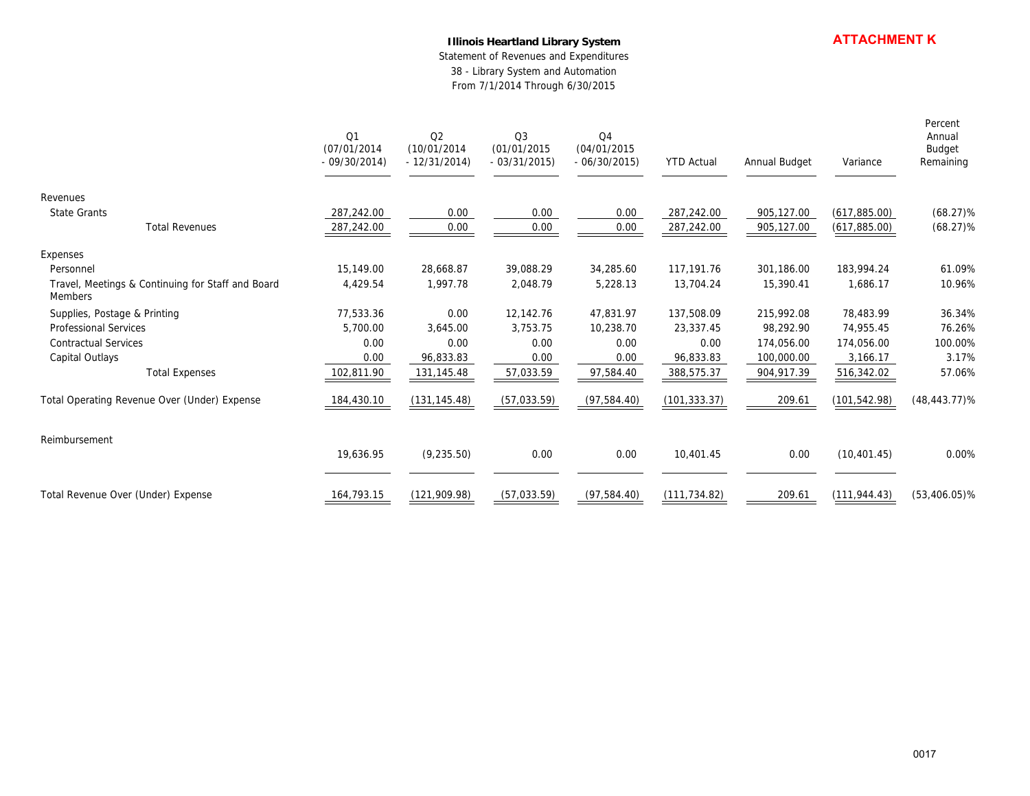### **Illinois Heartland Library System**

|                                                              |                                      | <b>ATTACHMENT K</b><br>Illinois Heartland Library System<br>Statement of Revenues and Expenditures<br>38 - Library System and Automation<br>From 7/1/2014 Through 6/30/2015 |                                    |                                    |                   |               |               |                                          |
|--------------------------------------------------------------|--------------------------------------|-----------------------------------------------------------------------------------------------------------------------------------------------------------------------------|------------------------------------|------------------------------------|-------------------|---------------|---------------|------------------------------------------|
|                                                              | Q1<br>(07/01/2014)<br>$-09/30/2014)$ | Q2<br>(10/01/2014<br>$-12/31/2014)$                                                                                                                                         | Q3<br>(01/01/2015<br>$-03/31/2015$ | Q4<br>(04/01/2015<br>$-06/30/2015$ | <b>YTD Actual</b> | Annual Budget | Variance      | Percent<br>Annual<br>Budget<br>Remaining |
| Revenues                                                     |                                      |                                                                                                                                                                             |                                    |                                    |                   |               |               |                                          |
| <b>State Grants</b>                                          | 287,242.00                           | 0.00                                                                                                                                                                        | 0.00                               | 0.00                               | 287,242.00        | 905,127.00    | (617, 885.00) | $(68.27)\%$                              |
| <b>Total Revenues</b>                                        | 287,242.00                           | 0.00                                                                                                                                                                        | 0.00                               | 0.00                               | 287,242.00        | 905,127.00    | (617, 885.00) | $(68.27)\%$                              |
| Expenses                                                     |                                      |                                                                                                                                                                             |                                    |                                    |                   |               |               |                                          |
| Personnel                                                    | 15,149.00                            | 28,668.87                                                                                                                                                                   | 39,088.29                          | 34,285.60                          | 117,191.76        | 301,186.00    | 183,994.24    | 61.09%                                   |
| Travel, Meetings & Continuing for Staff and Board<br>Members | 4,429.54                             | 1,997.78                                                                                                                                                                    | 2,048.79                           | 5,228.13                           | 13,704.24         | 15,390.41     | 1,686.17      | 10.96%                                   |
| Supplies, Postage & Printing                                 | 77,533.36                            | 0.00                                                                                                                                                                        | 12,142.76                          | 47,831.97                          | 137,508.09        | 215,992.08    | 78,483.99     | 36.34%                                   |
| Professional Services                                        | 5,700.00                             | 3,645.00                                                                                                                                                                    | 3,753.75                           | 10,238.70                          | 23,337.45         | 98,292.90     | 74,955.45     | 76.26%                                   |
| Contractual Services                                         | 0.00                                 | 0.00                                                                                                                                                                        | 0.00                               | 0.00                               | 0.00              | 174,056.00    | 174,056.00    | 100.00%                                  |
| Capital Outlays                                              | 0.00                                 | 96,833.83                                                                                                                                                                   | 0.00                               | 0.00                               | 96,833.83         | 100,000.00    | 3,166.17      | 3.17%                                    |
| <b>Total Expenses</b>                                        | 102,811.90                           | 131,145.48                                                                                                                                                                  | 57,033.59                          | 97,584.40                          | 388,575.37        | 904,917.39    | 516,342.02    | 57.06%                                   |
| Total Operating Revenue Over (Under) Expense                 | 184,430.10                           | (131, 145.48)                                                                                                                                                               | (57,033.59)                        | (97, 584.40)                       | (101, 333.37)     | 209.61        | (101, 542.98) | $(48, 443.77)$ %                         |
| Reimbursement                                                |                                      |                                                                                                                                                                             |                                    |                                    |                   |               |               |                                          |
|                                                              | 19,636.95                            | (9, 235.50)                                                                                                                                                                 | 0.00                               | 0.00                               | 10,401.45         | 0.00          | (10, 401.45)  | 0.00%                                    |
| Total Revenue Over (Under) Expense                           | 164,793.15                           | (121, 909.98)                                                                                                                                                               | (57,033.59)                        | (97, 584.40)                       | (111, 734.82)     | 209.61        | (111, 944.43) | $(53, 406.05)$ %                         |
|                                                              |                                      |                                                                                                                                                                             |                                    |                                    |                   |               |               |                                          |
|                                                              |                                      |                                                                                                                                                                             |                                    |                                    |                   |               |               |                                          |
|                                                              |                                      |                                                                                                                                                                             |                                    |                                    |                   |               |               | 0017                                     |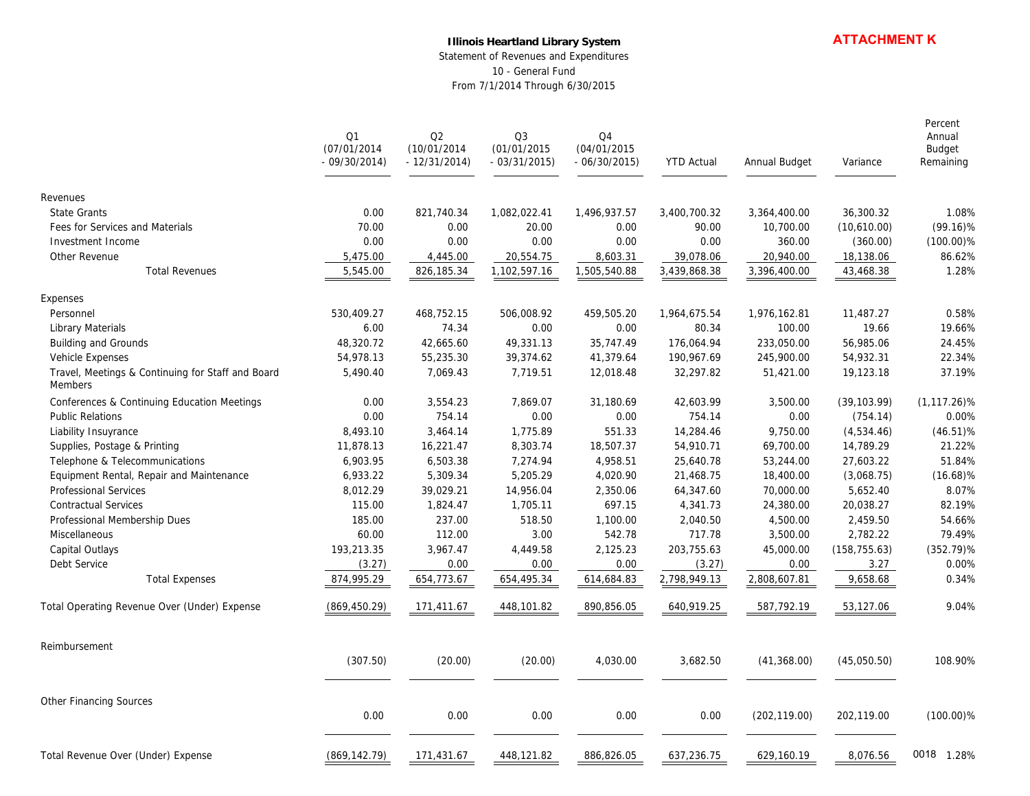#### **Illinois Heartland Library System**

Statement of Revenues and Expenditures 10 - General Fund From 7/1/2014 Through 6/30/2015

|                                                              | Q1<br>(07/01/2014<br>$-09/30/2014$ | Q2<br>(10/01/2014<br>$-12/31/2014$ | Q <sub>3</sub><br>(01/01/2015<br>$-03/31/2015$ | Q4<br>(04/01/2015<br>$-06/30/2015$ | <b>YTD Actual</b> | Annual Budget | Variance      | Percent<br>Annual<br>Budget<br>Remaining |
|--------------------------------------------------------------|------------------------------------|------------------------------------|------------------------------------------------|------------------------------------|-------------------|---------------|---------------|------------------------------------------|
| Revenues                                                     |                                    |                                    |                                                |                                    |                   |               |               |                                          |
| <b>State Grants</b>                                          | 0.00                               | 821,740.34                         | 1,082,022.41                                   | 1,496,937.57                       | 3,400,700.32      | 3,364,400.00  | 36,300.32     | 1.08%                                    |
| Fees for Services and Materials                              | 70.00                              | 0.00                               | 20.00                                          | 0.00                               | 90.00             | 10,700.00     | (10,610.00)   | $(99.16)\%$                              |
| Investment Income                                            | 0.00                               | 0.00                               | 0.00                                           | 0.00                               | 0.00              | 360.00        | (360.00)      | $(100.00)\%$                             |
| Other Revenue                                                | 5,475.00                           | 4,445.00                           | 20,554.75                                      | 8,603.31                           | 39,078.06         | 20,940.00     | 18,138.06     | 86.62%                                   |
| <b>Total Revenues</b>                                        | 5,545.00                           | 826,185.34                         | 1,102,597.16                                   | 1,505,540.88                       | 3,439,868.38      | 3,396,400.00  | 43,468.38     | 1.28%                                    |
| Expenses                                                     |                                    |                                    |                                                |                                    |                   |               |               |                                          |
| Personnel                                                    | 530,409.27                         | 468,752.15                         | 506,008.92                                     | 459,505.20                         | 1,964,675.54      | 1,976,162.81  | 11,487.27     | 0.58%                                    |
| Library Materials                                            | 6.00                               | 74.34                              | 0.00                                           | 0.00                               | 80.34             | 100.00        | 19.66         | 19.66%                                   |
| <b>Building and Grounds</b>                                  | 48,320.72                          | 42,665.60                          | 49,331.13                                      | 35,747.49                          | 176,064.94        | 233,050.00    | 56,985.06     | 24.45%                                   |
| Vehicle Expenses                                             | 54,978.13                          | 55,235.30                          | 39,374.62                                      | 41,379.64                          | 190,967.69        | 245,900.00    | 54,932.31     | 22.34%                                   |
| Travel, Meetings & Continuing for Staff and Board<br>Members | 5,490.40                           | 7.069.43                           | 7,719.51                                       | 12,018.48                          | 32,297.82         | 51,421.00     | 19,123.18     | 37.19%                                   |
| Conferences & Continuing Education Meetings                  | 0.00                               | 3,554.23                           | 7,869.07                                       | 31,180.69                          | 42,603.99         | 3,500.00      | (39, 103.99)  | $(1, 117.26)$ %                          |
| <b>Public Relations</b>                                      | 0.00                               | 754.14                             | 0.00                                           | 0.00                               | 754.14            | 0.00          | (754.14)      | 0.00%                                    |
| Liability Insuyrance                                         | 8,493.10                           | 3,464.14                           | 1,775.89                                       | 551.33                             | 14,284.46         | 9,750.00      | (4,534.46)    | $(46.51)\%$                              |
| Supplies, Postage & Printing                                 | 11,878.13                          | 16,221.47                          | 8,303.74                                       | 18,507.37                          | 54,910.71         | 69,700.00     | 14,789.29     | 21.22%                                   |
| Telephone & Telecommunications                               | 6.903.95                           | 6,503.38                           | 7,274.94                                       | 4.958.51                           | 25,640.78         | 53,244.00     | 27,603.22     | 51.84%                                   |
| Equipment Rental, Repair and Maintenance                     | 6,933.22                           | 5,309.34                           | 5,205.29                                       | 4,020.90                           | 21,468.75         | 18,400.00     | (3,068.75)    | $(16.68)\%$                              |
| Professional Services                                        | 8,012.29                           | 39,029.21                          | 14,956.04                                      | 2,350.06                           | 64,347.60         | 70,000.00     | 5,652.40      | 8.07%                                    |
| <b>Contractual Services</b>                                  | 115.00                             | 1,824.47                           | 1,705.11                                       | 697.15                             | 4,341.73          | 24,380.00     | 20,038.27     | 82.19%                                   |
| Professional Membership Dues                                 | 185.00                             | 237.00                             | 518.50                                         | 1,100.00                           | 2,040.50          | 4,500.00      | 2,459.50      | 54.66%                                   |
| Miscellaneous                                                | 60.00                              | 112.00                             | 3.00                                           | 542.78                             | 717.78            | 3,500.00      | 2,782.22      | 79.49%                                   |
| Capital Outlays                                              | 193,213.35                         | 3,967.47                           | 4,449.58                                       | 2,125.23                           | 203,755.63        | 45,000.00     | (158, 755.63) | $(352.79)\%$                             |
| Debt Service                                                 | (3.27)                             | 0.00                               | 0.00                                           | 0.00                               | (3.27)            | 0.00          | 3.27          | 0.00%                                    |
| <b>Total Expenses</b>                                        | 874,995.29                         | 654,773.67                         | 654,495.34                                     | 614,684.83                         | 2,798,949.13      | 2,808,607.81  | 9,658.68      | 0.34%                                    |
| Total Operating Revenue Over (Under) Expense                 | (869, 450.29)                      | 171,411.67                         | 448,101.82                                     | 890,856.05                         | 640,919.25        | 587,792.19    | 53,127.06     | 9.04%                                    |
| Reimbursement                                                |                                    |                                    |                                                |                                    |                   |               |               |                                          |
|                                                              | (307.50)                           | (20.00)                            | (20.00)                                        | 4,030.00                           | 3,682.50          | (41,368.00)   | (45,050.50)   | 108.90%                                  |
| <b>Other Financing Sources</b>                               |                                    |                                    |                                                |                                    |                   |               |               |                                          |
|                                                              | 0.00                               | 0.00                               | 0.00                                           | 0.00                               | 0.00              | (202, 119.00) | 202,119.00    | $(100.00)\%$                             |
| Total Revenue Over (Under) Expense                           | (869, 142.79)                      | 171,431.67                         | 448,121.82                                     | 886,826.05                         | 637,236.75        | 629,160.19    | 8,076.56      | 0018<br>1.28%                            |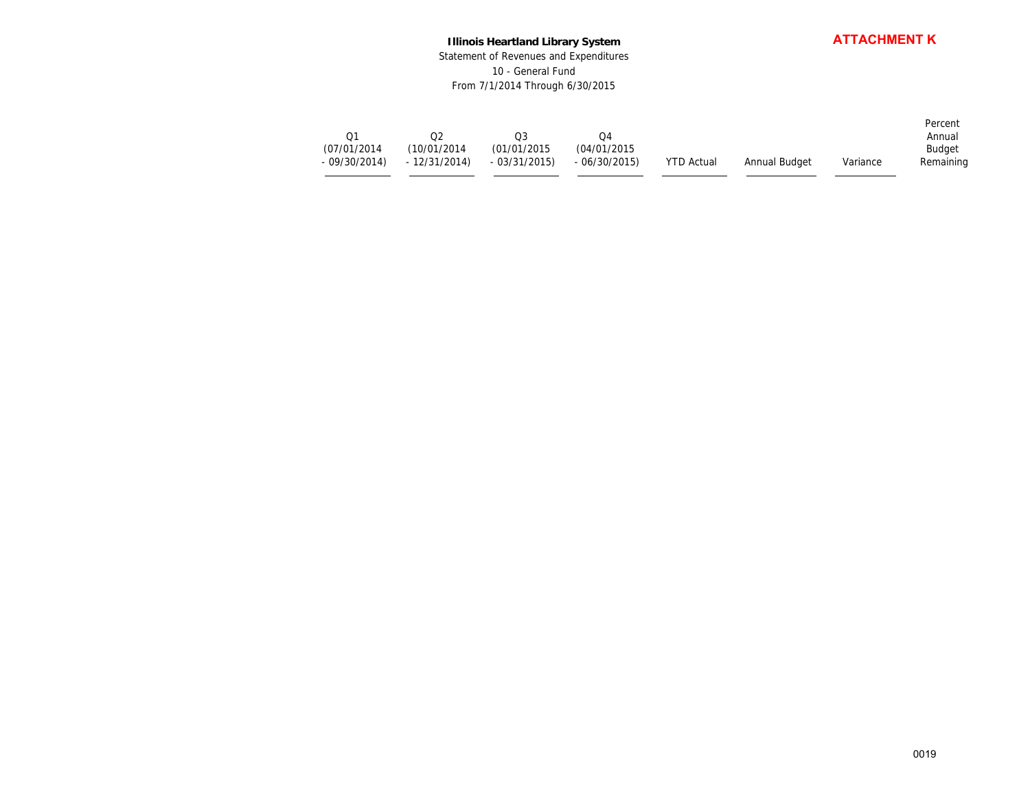### **Illinois Heartland Library System** Statement of Revenues and Expenditures 10 - General Fund From 7/1/2014 Through 6/30/2015

|                                      |                                                 | <b>ATTACHMENT K</b><br><b>Illinois Heartland Library System</b><br>Statement of Revenues and Expenditures<br>10 - General Fund<br>From 7/1/2014 Through 6/30/2015 |                                                |                   |               |          |                                          |  |
|--------------------------------------|-------------------------------------------------|-------------------------------------------------------------------------------------------------------------------------------------------------------------------|------------------------------------------------|-------------------|---------------|----------|------------------------------------------|--|
| Q1<br>(07/01/2014)<br>$-09/30/2014)$ | $\mathsf{Q2}$<br>(10/01/2014)<br>$-12/31/2014)$ | $\mathsf{Q3}$<br>(01/01/2015<br>$-03/31/2015$                                                                                                                     | Q <sub>4</sub><br>(04/01/2015<br>$-06/30/2015$ | <b>YTD Actual</b> | Annual Budget | Variance | Percent<br>Annual<br>Budget<br>Remaining |  |
|                                      |                                                 |                                                                                                                                                                   |                                                |                   |               |          |                                          |  |
|                                      |                                                 |                                                                                                                                                                   |                                                |                   |               |          |                                          |  |
|                                      |                                                 |                                                                                                                                                                   |                                                |                   |               |          |                                          |  |
|                                      |                                                 |                                                                                                                                                                   |                                                |                   |               |          |                                          |  |
|                                      |                                                 |                                                                                                                                                                   |                                                |                   |               |          | 0019                                     |  |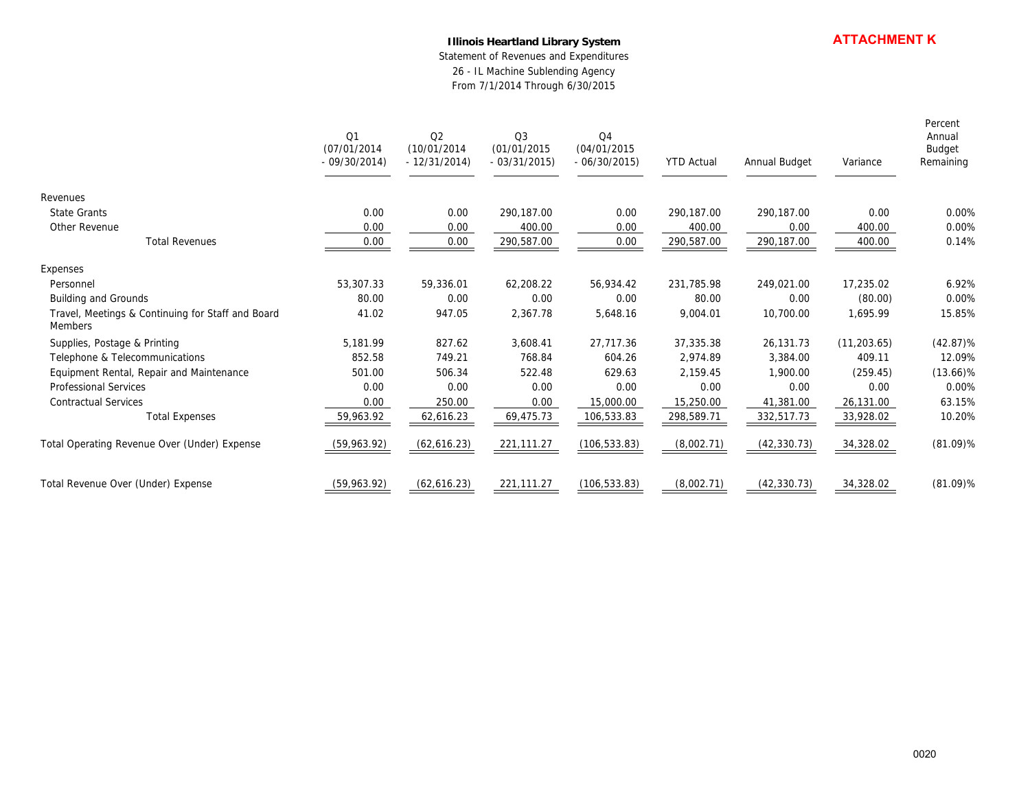#### **Illinois Heartland Library System**

|                                                              |                                     | <b>Illinois Heartland Library System</b><br>Statement of Revenues and Expenditures<br>26 - IL Machine Sublending Agency<br>From 7/1/2014 Through 6/30/2015 |                                    |                                                 |                   |               |              | <b>ATTACHMENT K</b>                      |
|--------------------------------------------------------------|-------------------------------------|------------------------------------------------------------------------------------------------------------------------------------------------------------|------------------------------------|-------------------------------------------------|-------------------|---------------|--------------|------------------------------------------|
|                                                              | Q1<br>(07/01/2014)<br>$-09/30/2014$ | Q2<br>(10/01/2014)<br>$-12/31/2014$                                                                                                                        | Q3<br>(01/01/2015<br>$-03/31/2015$ | Q <sub>4</sub><br>(04/01/2015)<br>$-06/30/2015$ | <b>YTD Actual</b> | Annual Budget | Variance     | Percent<br>Annual<br>Budget<br>Remaining |
| Revenues                                                     |                                     |                                                                                                                                                            |                                    |                                                 |                   |               |              |                                          |
| <b>State Grants</b>                                          | 0.00                                | 0.00                                                                                                                                                       | 290,187.00                         | 0.00                                            | 290,187.00        | 290,187.00    | 0.00         | 0.00%                                    |
| Other Revenue                                                | 0.00                                | 0.00                                                                                                                                                       | 400.00                             | 0.00                                            | 400.00            | 0.00          | 400.00       | 0.00%                                    |
| <b>Total Revenues</b>                                        | 0.00                                | 0.00                                                                                                                                                       | 290,587.00                         | 0.00                                            | 290,587.00        | 290,187.00    | 400.00       | 0.14%                                    |
| Expenses                                                     |                                     |                                                                                                                                                            |                                    |                                                 |                   |               |              |                                          |
| Personnel                                                    | 53,307.33                           | 59,336.01                                                                                                                                                  | 62,208.22                          | 56,934.42                                       | 231,785.98        | 249,021.00    | 17,235.02    | 6.92%                                    |
| Building and Grounds                                         | 80.00                               | 0.00                                                                                                                                                       | 0.00                               | 0.00                                            | 80.00             | 0.00          | (80.00)      | 0.00%                                    |
| Travel, Meetings & Continuing for Staff and Board<br>Members | 41.02                               | 947.05                                                                                                                                                     | 2,367.78                           | 5,648.16                                        | 9,004.01          | 10,700.00     | 1,695.99     | 15.85%                                   |
| Supplies, Postage & Printing                                 | 5,181.99                            | 827.62                                                                                                                                                     | 3,608.41                           | 27,717.36                                       | 37,335.38         | 26,131.73     | (11, 203.65) | $(42.87)\%$                              |
| Telephone & Telecommunications                               | 852.58                              | 749.21                                                                                                                                                     | 768.84                             | 604.26                                          | 2,974.89          | 3,384.00      | 409.11       | 12.09%                                   |
| Equipment Rental, Repair and Maintenance                     | 501.00                              | 506.34                                                                                                                                                     | 522.48                             | 629.63                                          | 2,159.45          | 1,900.00      | (259.45)     | $(13.66)\%$                              |
| Professional Services                                        | 0.00                                | 0.00                                                                                                                                                       | 0.00                               | 0.00                                            | 0.00              | 0.00          | 0.00         | 0.00%                                    |
| Contractual Services                                         | 0.00                                | 250.00                                                                                                                                                     | 0.00                               | 15,000.00                                       | 15,250.00         | 41,381.00     | 26,131.00    | 63.15%                                   |
| <b>Total Expenses</b>                                        | 59,963.92                           | 62,616.23                                                                                                                                                  | 69,475.73                          | 106,533.83                                      | 298,589.71        | 332,517.73    | 33,928.02    | 10.20%                                   |
| Total Operating Revenue Over (Under) Expense                 | (59,963.92)                         | (62,616.23)                                                                                                                                                | 221,111.27                         | (106, 533.83)                                   | (8,002.71)        | (42, 330.73)  | 34,328.02    | $(81.09)\%$                              |
| Total Revenue Over (Under) Expense                           | (59,963.92)                         | (62,616.23)                                                                                                                                                | 221,111.27                         | (106, 533.83)                                   | (8,002.71)        | (42, 330.73)  | 34,328.02    | $(81.09)\%$                              |
|                                                              |                                     |                                                                                                                                                            |                                    |                                                 |                   |               |              |                                          |
|                                                              |                                     |                                                                                                                                                            |                                    |                                                 |                   |               |              | 0020                                     |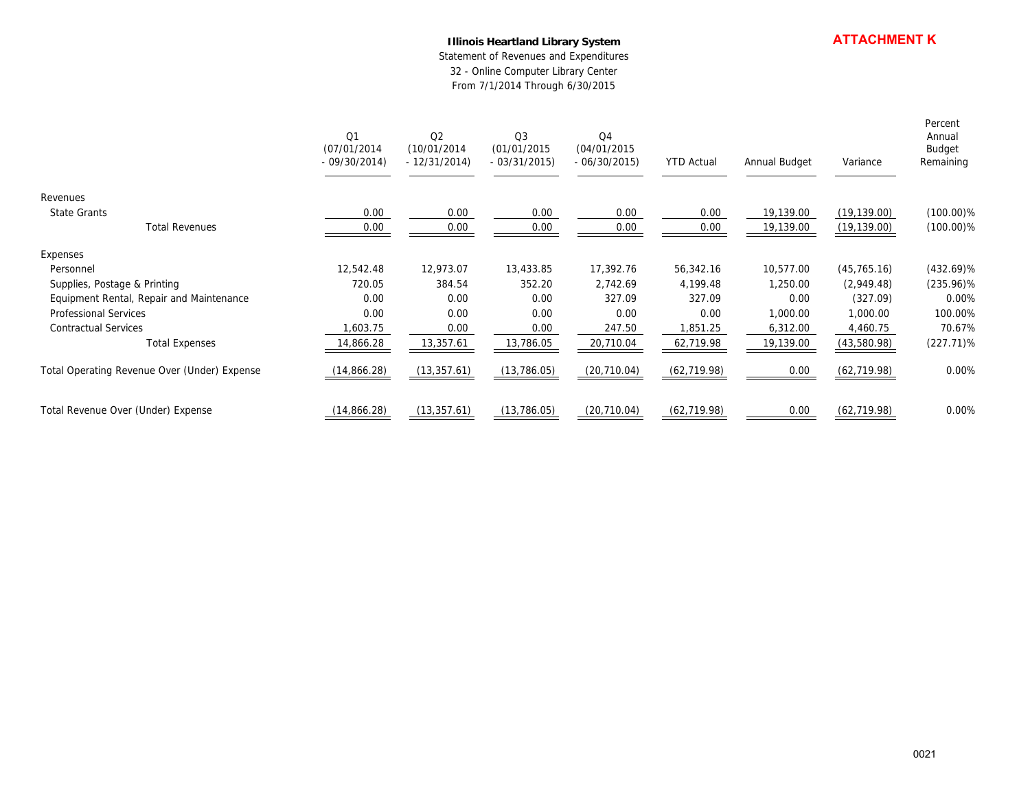### **Illinois Heartland Library System**

|                                                       |                                      | <b>Illinois Heartland Library System</b><br>Statement of Revenues and Expenditures<br>32 - Online Computer Library Center<br>From 7/1/2014 Through 6/30/2015 |                                     |                                                |                       |                       | <b>ATTACHMENT K</b>        |                                          |  |
|-------------------------------------------------------|--------------------------------------|--------------------------------------------------------------------------------------------------------------------------------------------------------------|-------------------------------------|------------------------------------------------|-----------------------|-----------------------|----------------------------|------------------------------------------|--|
|                                                       | Q1<br>(07/01/2014)<br>$-09/30/2014)$ | Q2<br>(10/01/2014)<br>$-12/31/2014)$                                                                                                                         | Q3<br>(01/01/2015)<br>$-03/31/2015$ | Q <sub>4</sub><br>(04/01/2015<br>$-06/30/2015$ | <b>YTD Actual</b>     | Annual Budget         | Variance                   | Percent<br>Annual<br>Budget<br>Remaining |  |
| Revenues                                              |                                      |                                                                                                                                                              |                                     |                                                |                       |                       |                            |                                          |  |
| State Grants                                          | 0.00                                 | 0.00                                                                                                                                                         | 0.00                                | 0.00                                           | 0.00                  | 19,139.00             | (19, 139.00)               | $(100.00)\%$                             |  |
| <b>Total Revenues</b>                                 | 0.00                                 | 0.00                                                                                                                                                         | 0.00                                | 0.00                                           | 0.00                  | 19,139.00             | (19, 139.00)               | $(100.00)\%$                             |  |
| Expenses<br>Personnel<br>Supplies, Postage & Printing | 12,542.48<br>720.05                  | 12,973.07<br>384.54                                                                                                                                          | 13,433.85<br>352.20                 | 17,392.76<br>2,742.69                          | 56,342.16<br>4,199.48 | 10,577.00<br>1,250.00 | (45, 765.16)<br>(2,949.48) | $(432.69)\%$<br>$(235.96)\%$             |  |
| Equipment Rental, Repair and Maintenance              | 0.00                                 | 0.00                                                                                                                                                         | 0.00                                | 327.09                                         | 327.09                | 0.00                  | (327.09)                   | 0.00%                                    |  |
| Professional Services                                 | 0.00                                 | 0.00                                                                                                                                                         | 0.00                                | 0.00                                           | 0.00                  | 1,000.00              | 1,000.00                   | 100.00%                                  |  |
| Contractual Services<br><b>Total Expenses</b>         | 1,603.75<br>14,866.28                | 0.00<br>13,357.61                                                                                                                                            | 0.00<br>13,786.05                   | 247.50<br>20,710.04                            | 1,851.25<br>62,719.98 | 6,312.00<br>19,139.00 | 4,460.75<br>(43,580.98)    | 70.67%<br>$(227.71)\%$                   |  |
| Total Operating Revenue Over (Under) Expense          | (14, 866.28)                         | (13, 357.61)                                                                                                                                                 | (13, 786.05)                        | (20, 710.04)                                   | (62, 719.98)          | 0.00                  | (62, 719.98)               | 0.00%                                    |  |
| Total Revenue Over (Under) Expense                    | (14,866.28)                          | (13, 357.61)                                                                                                                                                 | (13, 786.05)                        | (20, 710.04)                                   | (62, 719.98)          | 0.00                  | (62, 719.98)               | 0.00%                                    |  |
|                                                       |                                      |                                                                                                                                                              |                                     |                                                |                       |                       |                            |                                          |  |
|                                                       |                                      |                                                                                                                                                              |                                     |                                                |                       |                       |                            | 0021                                     |  |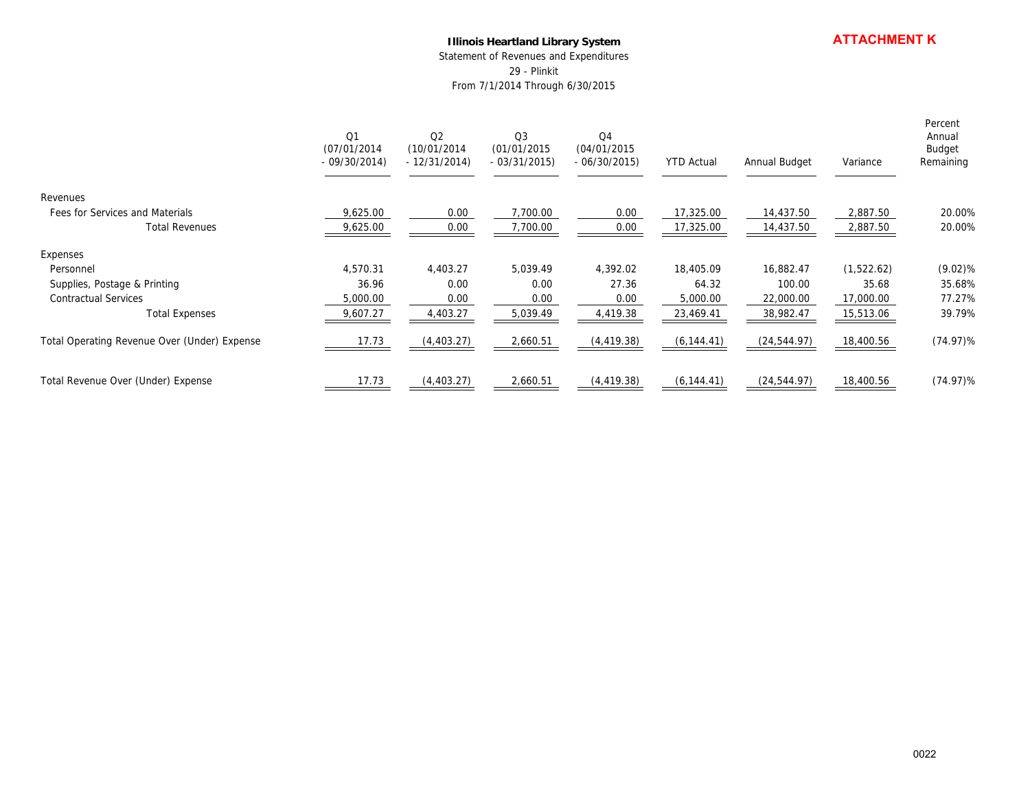#### **Illinois Heartland Library System**

|                                                                                                        | <b>Illinois Heartland Library System</b><br>Statement of Revenues and Expenditures<br>29 - Plinkit<br>From 7/1/2014 Through 6/30/2015 |                                                 |                                                |                                       |                                             | <b>ATTACHMENT K</b>                           |                                               |                                          |
|--------------------------------------------------------------------------------------------------------|---------------------------------------------------------------------------------------------------------------------------------------|-------------------------------------------------|------------------------------------------------|---------------------------------------|---------------------------------------------|-----------------------------------------------|-----------------------------------------------|------------------------------------------|
|                                                                                                        | Q1<br>(07/01/2014)<br>$-09/30/2014)$                                                                                                  | $\mathsf{O}2$<br>(10/01/2014)<br>$-12/31/2014)$ | $\mathsf{Q}3$<br>(01/01/2015)<br>$-03/31/2015$ | Q4<br>(04/01/2015<br>$-06/30/2015$    | <b>YTD Actual</b>                           | Annual Budget                                 | Variance                                      | Percent<br>Annual<br>Budget<br>Remaining |
| Revenues                                                                                               |                                                                                                                                       |                                                 |                                                |                                       |                                             |                                               |                                               |                                          |
| Fees for Services and Materials<br><b>Total Revenues</b>                                               | 9,625.00<br>9,625.00                                                                                                                  | 0.00<br>0.00                                    | 7,700.00<br>7,700.00                           | 0.00<br>0.00                          | 17,325.00<br>17,325.00                      | 14,437.50<br>14,437.50                        | 2,887.50<br>2,887.50                          | 20.00%<br>20.00%                         |
| Expenses<br>Personnel<br>Supplies, Postage & Printing<br>Contractual Services<br><b>Total Expenses</b> | 4,570.31<br>36.96<br>5,000.00<br>9,607.27                                                                                             | 4,403.27<br>0.00<br>0.00<br>4,403.27            | 5,039.49<br>0.00<br>0.00<br>5,039.49           | 4,392.02<br>27.36<br>0.00<br>4,419.38 | 18,405.09<br>64.32<br>5,000.00<br>23,469.41 | 16,882.47<br>100.00<br>22,000.00<br>38,982.47 | (1,522.62)<br>35.68<br>17,000.00<br>15,513.06 | $(9.02)$ %<br>35.68%<br>77.27%<br>39.79% |
| Total Operating Revenue Over (Under) Expense                                                           | 17.73                                                                                                                                 | (4, 403.27)                                     | 2,660.51                                       | (4, 419.38)                           | (6, 144.41)                                 | (24, 544.97)                                  | 18,400.56                                     | $(74.97)\%$                              |
| Total Revenue Over (Under) Expense                                                                     | 17.73                                                                                                                                 | (4,403.27)                                      | 2,660.51                                       | (4, 419.38)                           | (6, 144.41)                                 | (24, 544.97)                                  | 18,400.56                                     | $(74.97)\%$                              |
|                                                                                                        |                                                                                                                                       |                                                 |                                                |                                       |                                             |                                               |                                               | 0022                                     |